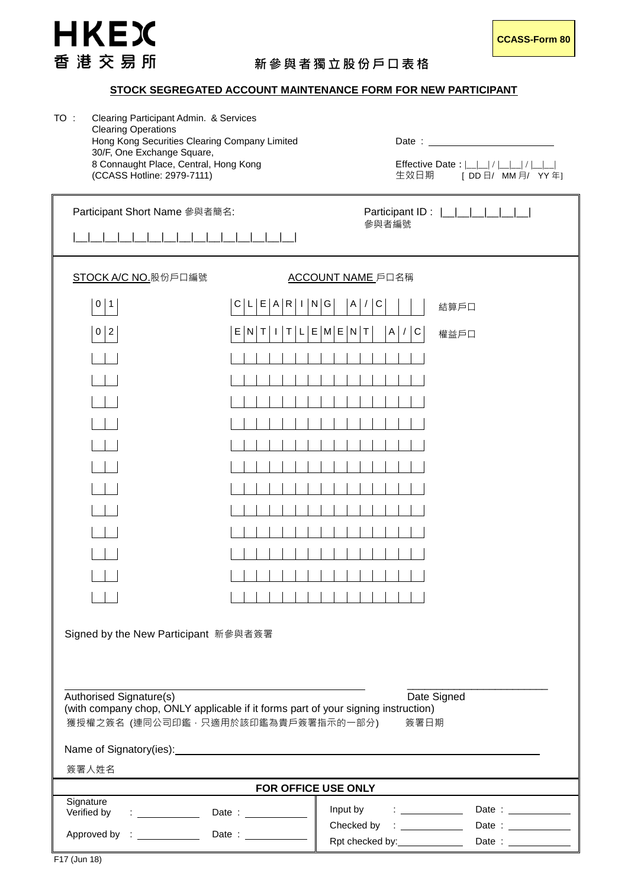

## **STOCK SEGREGATED ACCOUNT MAINTENANCE FORM FOR NEW PARTICIPANT**

| TO : | Clearing Participant Admin. & Services        |          |
|------|-----------------------------------------------|----------|
|      | <b>Clearing Operations</b>                    |          |
|      | Hong Kong Securities Clearing Company Limited | Date:    |
|      | 30/F, One Exchange Square,                    |          |
|      | 8 Connaught Place, Central, Hong Kong         | Effectiv |
|      | (CCASS Hotline: 2979-7111)                    | 生效日      |

Effective Date :  $|_{-}|/|_{-}|/|_{-}|/|_{-}|$ 生效日期 [ DD 日/ MM 月/ YY 年]

| Participant Short Name 參與者簡名:<br>Participant ID:<br>參與者編號                                                                                                                 |                                                                                                             |  |  |
|---------------------------------------------------------------------------------------------------------------------------------------------------------------------------|-------------------------------------------------------------------------------------------------------------|--|--|
| STOCK A/C NO. 股份戶口編號                                                                                                                                                      | ACCOUNT NAME 戶口名稱                                                                                           |  |  |
|                                                                                                                                                                           |                                                                                                             |  |  |
| $0 \mid 1$                                                                                                                                                                | L[E A R I N G]<br>A /<br>$\mathsf{C}$<br>$\vert$ C<br>結算戶口                                                  |  |  |
| $0 \mid 2$                                                                                                                                                                | E M E N T<br>$E \mid$<br>$N$ T<br>Τ<br>A /<br>$\overline{C}$<br>$\lfloor \cdot \rfloor$<br>權益戶口             |  |  |
|                                                                                                                                                                           |                                                                                                             |  |  |
|                                                                                                                                                                           |                                                                                                             |  |  |
|                                                                                                                                                                           |                                                                                                             |  |  |
|                                                                                                                                                                           |                                                                                                             |  |  |
|                                                                                                                                                                           |                                                                                                             |  |  |
|                                                                                                                                                                           |                                                                                                             |  |  |
|                                                                                                                                                                           |                                                                                                             |  |  |
|                                                                                                                                                                           |                                                                                                             |  |  |
|                                                                                                                                                                           |                                                                                                             |  |  |
|                                                                                                                                                                           |                                                                                                             |  |  |
|                                                                                                                                                                           |                                                                                                             |  |  |
|                                                                                                                                                                           |                                                                                                             |  |  |
| Signed by the New Participant 新參與者簽署                                                                                                                                      |                                                                                                             |  |  |
| Authorised Signature(s)<br>Date Signed<br>(with company chop, ONLY applicable if it forms part of your signing instruction)<br>獲授權之簽名 (連同公司印鑑,只適用於該印鑑為貴戶簽署指示的一部分)<br>簽署日期 |                                                                                                             |  |  |
|                                                                                                                                                                           |                                                                                                             |  |  |
| 簽署人姓名                                                                                                                                                                     |                                                                                                             |  |  |
| FOR OFFICE USE ONLY                                                                                                                                                       |                                                                                                             |  |  |
| Signature<br>Verified by<br><b>Contract Contract Contract</b>                                                                                                             | Input by<br>Date : $\frac{1}{1}$<br>$\mathcal{L}=\{1,2,\ldots, n-1\}$ .                                     |  |  |
|                                                                                                                                                                           | Checked by : _____________<br>Date : $\frac{1}{1}$<br>Rpt checked by:_____________<br>Date : ______________ |  |  |